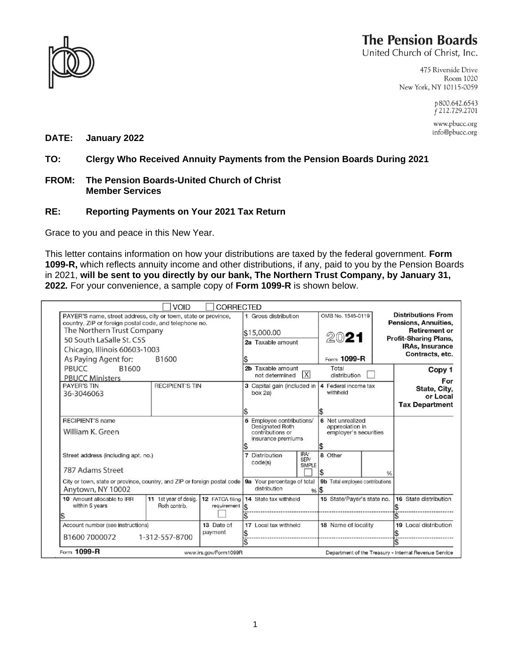

## **The Pension Boards**

United Church of Christ, Inc.

475 Riverside Drive Room 1020 New York, NY 10115-0059

> p800.642.6543 f 212.729.2701

www.pbucc.org info@pbucc.org

**DATE: January 2022**

**TO: Clergy Who Received Annuity Payments from the Pension Boards During 2021**

## **FROM: The Pension Boards-United Church of Christ Member Services**

## **RE: Reporting Payments on Your 2021 Tax Return**

Grace to you and peace in this New Year.

This letter contains information on how your distributions are taxed by the federal government. **Form 1099-R,** which reflects annuity income and other distributions, if any, paid to you by the Pension Boards in 2021, **will be sent to you directly by our bank, The Northern Trust Company, by January 31, 2022***.* For your convenience, a sample copy of **Form 1099-R** is shown below.

|                                                                                                                                                                                                                                                     | <b>VOID</b>                            | <b>CORRECTED</b>                                       |                                                                                                                                                                      |                              |                                                  |               |                                                                                                                                                        |
|-----------------------------------------------------------------------------------------------------------------------------------------------------------------------------------------------------------------------------------------------------|----------------------------------------|--------------------------------------------------------|----------------------------------------------------------------------------------------------------------------------------------------------------------------------|------------------------------|--------------------------------------------------|---------------|--------------------------------------------------------------------------------------------------------------------------------------------------------|
| PAYER'S name, street address, city or town, state or province,<br>country, ZIP or foreign postal code, and telephone no.<br>The Northern Trust Company<br>50 South LaSalle St. C5S<br>Chicago, Illinois 60603-1003<br>As Paying Agent for:<br>B1600 |                                        |                                                        | 1 Gross distribution<br>\$15,000.00<br>2a Taxable amount                                                                                                             |                              | OMB No. 1545-0119<br>2021<br>Form 1099-R         |               | <b>Distributions From</b><br>Pensions, Annuities,<br><b>Retirement or</b><br><b>Profit-Sharing Plans,</b><br><b>IRAs, Insurance</b><br>Contracts, etc. |
| B1600<br>PBUCC<br><b>PBUCC Ministers</b>                                                                                                                                                                                                            |                                        | 2b Taxable amount<br>$\vert X \vert$<br>not determined |                                                                                                                                                                      | Total<br>distribution        |                                                  | Copy 1<br>For |                                                                                                                                                        |
| <b>PAYER'S TIN</b><br>36-3046063                                                                                                                                                                                                                    | <b>RECIPIENT'S TIN</b>                 |                                                        | 3 Capital gain (included in<br>box 2a)                                                                                                                               |                              | 4 Federal income tax<br>withheld<br>\$           |               | State, City,<br>or Local<br><b>Tax Department</b>                                                                                                      |
| <b>RECIPIENT'S name</b><br>William K. Green<br>Street address (including apt. no.)<br>787 Adams Street<br>City or town, state or province, country, and ZIP or foreign postal code   9a Your percentage of total                                    |                                        |                                                        | 6 Net unrealized<br>5 Employee contributions/<br>appreciation in<br><b>Designated Roth</b><br>contributions or<br>employer's securities<br>insurance premiums<br>l\$ |                              |                                                  |               |                                                                                                                                                        |
|                                                                                                                                                                                                                                                     |                                        |                                                        | Distribution<br>code(s)                                                                                                                                              | IRA<br>SEP/<br><b>SIMPLE</b> | 8 Other<br>\$<br>9b Total employee contributions | ℅             |                                                                                                                                                        |
| Anytown, NY 10002                                                                                                                                                                                                                                   |                                        |                                                        | distribution                                                                                                                                                         | % 15                         |                                                  |               |                                                                                                                                                        |
| 10 Amount allocable to IRR<br>within 5 years                                                                                                                                                                                                        | 11 1st year of desig.<br>Roth contrib. | $requirement$ $\left  \text{\$} \right $               | 12 FATCA filing 14 State tax withheld                                                                                                                                |                              | 15 State/Payer's state no.                       |               | 16 State distribution                                                                                                                                  |
|                                                                                                                                                                                                                                                     |                                        |                                                        |                                                                                                                                                                      |                              |                                                  |               |                                                                                                                                                        |
| Account number (see instructions)<br>13 Date of<br>payment<br>1-312-557-8700<br>B1600 7000072                                                                                                                                                       |                                        |                                                        | 17 Local tax withheld                                                                                                                                                |                              | 18 Name of locality                              |               | 19 Local distribution                                                                                                                                  |
|                                                                                                                                                                                                                                                     |                                        |                                                        |                                                                                                                                                                      |                              |                                                  |               |                                                                                                                                                        |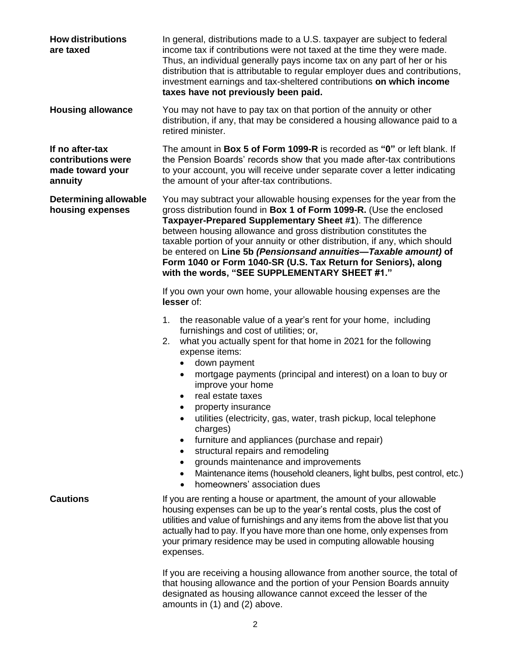| <b>How distributions</b><br>are taxed                                | In general, distributions made to a U.S. taxpayer are subject to federal<br>income tax if contributions were not taxed at the time they were made.<br>Thus, an individual generally pays income tax on any part of her or his<br>distribution that is attributable to regular employer dues and contributions,<br>investment earnings and tax-sheltered contributions on which income<br>taxes have not previously been paid.                                                                                                                                                                                                                                                                                                                                          |  |  |  |  |
|----------------------------------------------------------------------|------------------------------------------------------------------------------------------------------------------------------------------------------------------------------------------------------------------------------------------------------------------------------------------------------------------------------------------------------------------------------------------------------------------------------------------------------------------------------------------------------------------------------------------------------------------------------------------------------------------------------------------------------------------------------------------------------------------------------------------------------------------------|--|--|--|--|
| <b>Housing allowance</b>                                             | You may not have to pay tax on that portion of the annuity or other<br>distribution, if any, that may be considered a housing allowance paid to a<br>retired minister.                                                                                                                                                                                                                                                                                                                                                                                                                                                                                                                                                                                                 |  |  |  |  |
| If no after-tax<br>contributions were<br>made toward your<br>annuity | The amount in Box 5 of Form 1099-R is recorded as "0" or left blank. If<br>the Pension Boards' records show that you made after-tax contributions<br>to your account, you will receive under separate cover a letter indicating<br>the amount of your after-tax contributions.                                                                                                                                                                                                                                                                                                                                                                                                                                                                                         |  |  |  |  |
| <b>Determining allowable</b><br>housing expenses                     | You may subtract your allowable housing expenses for the year from the<br>gross distribution found in Box 1 of Form 1099-R. (Use the enclosed<br>Taxpayer-Prepared Supplementary Sheet #1). The difference<br>between housing allowance and gross distribution constitutes the<br>taxable portion of your annuity or other distribution, if any, which should<br>be entered on Line 5b (Pensionsand annuities-Taxable amount) of<br>Form 1040 or Form 1040-SR (U.S. Tax Return for Seniors), along<br>with the words, "SEE SUPPLEMENTARY SHEET #1."                                                                                                                                                                                                                    |  |  |  |  |
|                                                                      | If you own your own home, your allowable housing expenses are the<br>lesser of:                                                                                                                                                                                                                                                                                                                                                                                                                                                                                                                                                                                                                                                                                        |  |  |  |  |
|                                                                      | the reasonable value of a year's rent for your home, including<br>1.<br>furnishings and cost of utilities; or,<br>what you actually spent for that home in 2021 for the following<br>2.<br>expense items:<br>down payment<br>$\bullet$<br>mortgage payments (principal and interest) on a loan to buy or<br>$\bullet$<br>improve your home<br>real estate taxes<br>$\bullet$<br>property insurance<br>utilities (electricity, gas, water, trash pickup, local telephone<br>charges)<br>furniture and appliances (purchase and repair)<br>٠<br>structural repairs and remodeling<br>$\bullet$<br>grounds maintenance and improvements<br>٠<br>Maintenance items (household cleaners, light bulbs, pest control, etc.)<br>٠<br>homeowners' association dues<br>$\bullet$ |  |  |  |  |
| <b>Cautions</b>                                                      | If you are renting a house or apartment, the amount of your allowable<br>housing expenses can be up to the year's rental costs, plus the cost of<br>utilities and value of furnishings and any items from the above list that you<br>actually had to pay. If you have more than one home, only expenses from<br>your primary residence may be used in computing allowable housing<br>expenses.                                                                                                                                                                                                                                                                                                                                                                         |  |  |  |  |
|                                                                      | If you are receiving a housing allowance from another source, the total of<br>that housing allowance and the portion of your Pension Boards annuity<br>designated as housing allowance cannot exceed the lesser of the                                                                                                                                                                                                                                                                                                                                                                                                                                                                                                                                                 |  |  |  |  |

amounts in (1) and (2) above.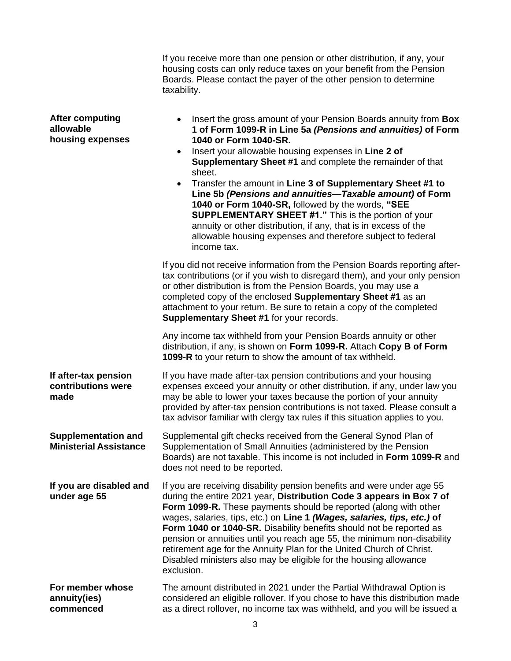|                                                             | If you receive more than one pension or other distribution, if any, your<br>housing costs can only reduce taxes on your benefit from the Pension<br>Boards. Please contact the payer of the other pension to determine<br>taxability.                                                                                                                                                                                                                                                                                                                                                                                                                                                                                       |
|-------------------------------------------------------------|-----------------------------------------------------------------------------------------------------------------------------------------------------------------------------------------------------------------------------------------------------------------------------------------------------------------------------------------------------------------------------------------------------------------------------------------------------------------------------------------------------------------------------------------------------------------------------------------------------------------------------------------------------------------------------------------------------------------------------|
| <b>After computing</b><br>allowable<br>housing expenses     | Insert the gross amount of your Pension Boards annuity from Box<br>$\bullet$<br>1 of Form 1099-R in Line 5a (Pensions and annuities) of Form<br>1040 or Form 1040-SR.<br>Insert your allowable housing expenses in Line 2 of<br>$\bullet$<br>Supplementary Sheet #1 and complete the remainder of that<br>sheet.<br>Transfer the amount in Line 3 of Supplementary Sheet #1 to<br>$\bullet$<br>Line 5b (Pensions and annuities-Taxable amount) of Form<br>1040 or Form 1040-SR, followed by the words, "SEE<br><b>SUPPLEMENTARY SHEET #1."</b> This is the portion of your<br>annuity or other distribution, if any, that is in excess of the<br>allowable housing expenses and therefore subject to federal<br>income tax. |
|                                                             | If you did not receive information from the Pension Boards reporting after-<br>tax contributions (or if you wish to disregard them), and your only pension<br>or other distribution is from the Pension Boards, you may use a<br>completed copy of the enclosed Supplementary Sheet #1 as an<br>attachment to your return. Be sure to retain a copy of the completed<br>Supplementary Sheet #1 for your records.                                                                                                                                                                                                                                                                                                            |
|                                                             | Any income tax withheld from your Pension Boards annuity or other<br>distribution, if any, is shown on Form 1099-R. Attach Copy B of Form<br>1099-R to your return to show the amount of tax withheld.                                                                                                                                                                                                                                                                                                                                                                                                                                                                                                                      |
| If after-tax pension<br>contributions were<br>made          | If you have made after-tax pension contributions and your housing<br>expenses exceed your annuity or other distribution, if any, under law you<br>may be able to lower your taxes because the portion of your annuity<br>provided by after-tax pension contributions is not taxed. Please consult a<br>tax advisor familiar with clergy tax rules if this situation applies to you.                                                                                                                                                                                                                                                                                                                                         |
| <b>Supplementation and</b><br><b>Ministerial Assistance</b> | Supplemental gift checks received from the General Synod Plan of<br>Supplementation of Small Annuities (administered by the Pension<br>Boards) are not taxable. This income is not included in Form 1099-R and<br>does not need to be reported.                                                                                                                                                                                                                                                                                                                                                                                                                                                                             |
| If you are disabled and<br>under age 55                     | If you are receiving disability pension benefits and were under age 55<br>during the entire 2021 year, Distribution Code 3 appears in Box 7 of<br>Form 1099-R. These payments should be reported (along with other<br>wages, salaries, tips, etc.) on Line 1 (Wages, salaries, tips, etc.) of<br>Form 1040 or 1040-SR. Disability benefits should not be reported as<br>pension or annuities until you reach age 55, the minimum non-disability<br>retirement age for the Annuity Plan for the United Church of Christ.<br>Disabled ministers also may be eligible for the housing allowance<br>exclusion.                                                                                                                  |
| For member whose<br>annuity(ies)<br>commenced               | The amount distributed in 2021 under the Partial Withdrawal Option is<br>considered an eligible rollover. If you chose to have this distribution made<br>as a direct rollover, no income tax was withheld, and you will be issued a                                                                                                                                                                                                                                                                                                                                                                                                                                                                                         |